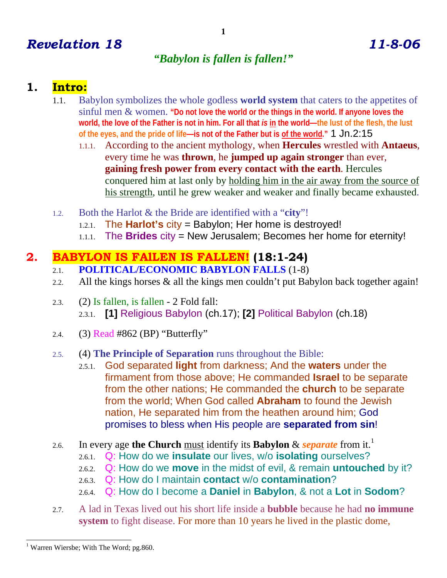# *Revelation 18 11-8-06*

# *"Babylon is fallen is fallen!"*

## **1. Intro:**

- 1.1. Babylon symbolizes the whole godless **world system** that caters to the appetites of sinful men & women. **"Do not love the world or the things in the world. If anyone loves the world, the love of the Father is not in him. For all that** *is* **in the world—the lust of the flesh, the lust of the eyes, and the pride of life—is not of the Father but is of the world."** 1 Jn.2:15
	- 1.1.1. According to the ancient mythology, when **Hercules** wrestled with **Antaeus**, every time he was **thrown**, he **jumped up again stronger** than ever, **gaining fresh power from every contact with the earth**. Hercules conquered him at last only by holding him in the air away from the source of his strength, until he grew weaker and weaker and finally became exhausted.
- 1.2. Both the Harlot & the Bride are identified with a "**city**"!
	- 1.2.1. The **Harlot's** city = Babylon; Her home is destroyed!
	- 1.1.1. The **Brides** city = New Jerusalem; Becomes her home for eternity!

## **2. BABYLON IS FAlLEN IS FALLEN! (18:1-24)**

- 2.1. **POLITICAL/ECONOMIC BABYLON FALLS** (1-8)
- 2.2. All the kings horses & all the kings men couldn't put Babylon back together again!
- 2.3. (2) Is fallen, is fallen 2 Fold fall: 2.3.1. **[1]** Religious Babylon (ch.17); **[2]** Political Babylon (ch.18)
- 2.4. (3) Read #862 (BP) "Butterfly"

#### 2.5. (4) **The Principle of Separation** runs throughout the Bible:

- 2.5.1. God separated **light** from darkness; And the **waters** under the firmament from those above; He commanded **Israel** to be separate from the other nations; He commanded the **church** to be separate from the world; When God called **Abraham** to found the Jewish nation, He separated him from the heathen around him; God promises to bless when His people are **separated from sin**!
- 2.6. In every age the Church must identify its Babylon & *separate* from it.<sup>1</sup>
	- 2.6.1. Q: How do we **insulate** our lives, w/o **isolating** ourselves?
	- 2.6.2. Q: How do we **move** in the midst of evil, & remain **untouched** by it?
	- 2.6.3. Q: How do I maintain **contact** w/o **contamination**?
	- 2.6.4. Q: How do I become a **Daniel** in **Babylon**, & not a **Lot** in **Sodom**?
- 2.7. A lad in Texas lived out his short life inside a **bubble** because he had **no immune system** to fight disease. For more than 10 years he lived in the plastic dome,

 $\overline{a}$ <sup>1</sup> Warren Wiersbe; With The Word; pg.860.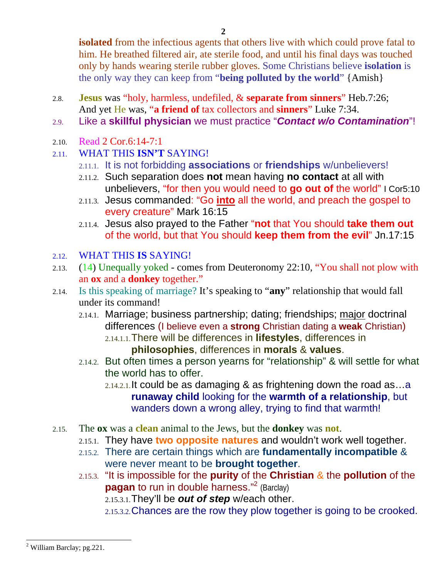**isolated** from the infectious agents that others live with which could prove fatal to him. He breathed filtered air, ate sterile food, and until his final days was touched only by hands wearing sterile rubber gloves. Some Christians believe **isolation** is the only way they can keep from "**being polluted by the world**" {Amish}

- 2.8. **Jesus** was "holy, harmless, undefiled, & **separate from sinners**" Heb.7:26; And yet He was, "**a friend of** tax collectors and **sinners**" Luke 7:34.
- 2.9. Like a **skillful physician** we must practice "*Contact w/o Contamination*"!
- 2.10. Read 2 Cor.6:14-7:1
- 2.11. WHAT THIS **ISN'T** SAYING!
	- 2.11.1. It is not forbidding **associations** or **friendships** w/unbelievers!
	- 2.11.2. Such separation does **not** mean having **no contact** at all with unbelievers, "for then you would need to **go out of** the world" I Cor5:10
	- 2.11.3. Jesus commanded: "Go **into** all the world, and preach the gospel to every creature" Mark 16:15
	- 2.11.4. Jesus also prayed to the Father "**not** that You should **take them out** of the world, but that You should **keep them from the evil**" Jn.17:15

### 2.12. WHAT THIS **IS** SAYING!

- 2.13. (14) Unequally yoked comes from Deuteronomy 22:10, "You shall not plow with an **ox** and a **donkey** together."
- 2.14. Is this speaking of marriage? It's speaking to "**any**" relationship that would fall under its command!
	- 2.14.1. Marriage; business partnership; dating; friendships; major doctrinal differences (I believe even a **strong** Christian dating a **weak** Christian)
		- 2.14.1.1.There will be differences in **lifestyles**, differences in **philosophies**, differences in **morals** & **values**.
	- 2.14.2. But often times a person yearns for "relationship" & will settle for what the world has to offer.
		- 2.14.2.1.It could be as damaging & as frightening down the road as…a **runaway child** looking for the **warmth of a relationship**, but wanders down a wrong alley, trying to find that warmth!
- 2.15. The **ox** was a **clean** animal to the Jews, but the **donkey** was **not**.
	- 2.15.1. They have **two opposite natures** and wouldn't work well together.
	- 2.15.2. There are certain things which are **fundamentally incompatible** & were never meant to be **brought together**.
	- 2.15.3. "It is impossible for the **purity** of the **Christian** & the **pollution** of the **pagan** to run in double harness."<sup>2</sup> (Barclay)

2.15.3.1.They'll be *out of step* w/each other.

2.15.3.2.Chances are the row they plow together is going to be crooked.

<sup>-</sup><sup>2</sup> William Barclay; pg. 221.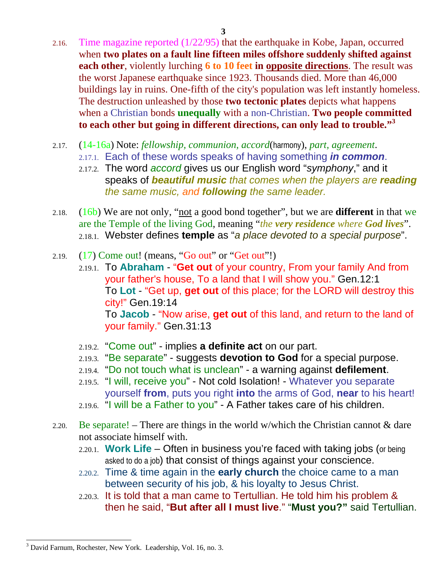- 2.16. Time magazine reported (1/22/95) that the earthquake in Kobe, Japan, occurred when **two plates on a fault line fifteen miles offshore suddenly shifted against each other**, violently lurching **6 to 10 feet in opposite directions**. The result was the worst Japanese earthquake since 1923. Thousands died. More than 46,000 buildings lay in ruins. One-fifth of the city's population was left instantly homeless. The destruction unleashed by those **two tectonic plates** depicts what happens when a Christian bonds **unequally** with a non-Christian. **Two people committed to each other but going in different directions, can only lead to trouble."<sup>3</sup>**
- 2.17. (14-16a) Note: *fellowship, communion, accord*(harmony), *part, agreement*.
	- 2.17.1. Each of these words speaks of having something *in common*.
	- 2.17.2. The word *accord* gives us our English word "*symphony*," and it speaks of *beautiful music that comes when the players are reading the same music, and following the same leader.*
- 2.18. (16b) We are not only, "not a good bond together", but we are **different** in that we are the Temple of the living God, meaning "*the very residence where God lives*". 2.18.1. Webster defines **temple** as "*a place devoted to a special purpose*".
- 2.19.  $(17)$  Come out! (means, "Go out" or "Get out"!)
	- 2.19.1. To **Abraham** "**Get out** of your country, From your family And from your father's house, To a land that I will show you." Gen.12:1 To **Lot** - "Get up, **get out** of this place; for the LORD will destroy this city!" Gen.19:14 To **Jacob** - "Now arise, **get out** of this land, and return to the land of your family." Gen.31:13
	- 2.19.2. "Come out" implies **a definite act** on our part.
	- 2.19.3. "Be separate" suggests **devotion to God** for a special purpose.
	- 2.19.4. "Do not touch what is unclean" a warning against **defilement**.
	- 2.19.5. "I will, receive you" Not cold Isolation! Whatever you separate yourself **from**, puts you right **into** the arms of God, **near** to his heart!
	- 2.19.6. "I will be a Father to you" A Father takes care of his children.
- 2.20. Be separate! There are things in the world w/which the Christian cannot  $\&$  dare not associate himself with.
	- 2.20.1. **Work Life** Often in business you're faced with taking jobs (or being asked to do a job) that consist of things against your conscience.
	- 2.20.2. Time & time again in the **early church** the choice came to a man between security of his job, & his loyalty to Jesus Christ.
	- 2.20.3. It is told that a man came to Tertullian. He told him his problem & then he said, "**But after all I must live**." "**Must you?"** said Tertullian.

<sup>-</sup><sup>3</sup> David Farnum, Rochester, New York. Leadership, Vol. 16, no. 3.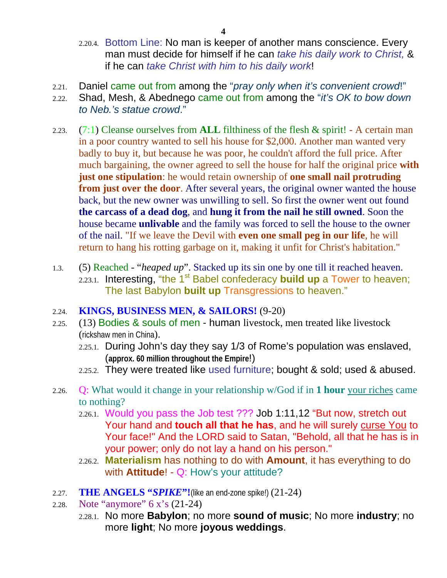- 2.20.4. Bottom Line: No man is keeper of another mans conscience. Every man must decide for himself if he can *take his daily work to Christ,* & if he can *take Christ with him to his daily work*!
- 2.21. Daniel came out from among the "*pray only when it's convenient crowd*!"
- 2.22. Shad, Mesh, & Abednego came out from among the "*it's OK to bow down to Neb.'s statue crowd*."
- 2.23. (7:1) Cleanse ourselves from **ALL** filthiness of the flesh & spirit! A certain man in a poor country wanted to sell his house for \$2,000. Another man wanted very badly to buy it, but because he was poor, he couldn't afford the full price. After much bargaining, the owner agreed to sell the house for half the original price **with just one stipulation**: he would retain ownership of **one small nail protruding from just over the door.** After several years, the original owner wanted the house back, but the new owner was unwilling to sell. So first the owner went out found **the carcass of a dead dog**, and **hung it from the nail he still owned**. Soon the house became **unlivable** and the family was forced to sell the house to the owner of the nail. "If we leave the Devil with **even one small peg in our life**, he will return to hang his rotting garbage on it, making it unfit for Christ's habitation."
- 1.3. (5) Reached "*heaped up*". Stacked up its sin one by one till it reached heaven. 2.23.1. Interesting, "the 1<sup>st</sup> Babel confederacy **build up** a Tower to heaven; The last Babylon **built up** Transgressions to heaven."
- 2.24. **KINGS, BUSINESS MEN, & SAILORS!** (9-20)
- 2.25. (13) Bodies & souls of men human livestock, men treated like livestock (rickshaw men in China).
	- 2.25.1. During John's day they say 1/3 of Rome's population was enslaved, (**approx. 60 million throughout the Empire**!)
	- 2.25.2. They were treated like used furniture; bought & sold; used & abused.
- 2.26. Q: What would it change in your relationship w/God if in **1 hour** your riches came to nothing?
	- 2.26.1. Would you pass the Job test ??? Job 1:11,12 "But now, stretch out Your hand and **touch all that he has**, and he will surely curse You to Your face!" And the LORD said to Satan, "Behold, all that he has is in your power; only do not lay a hand on his person."
	- 2.26.2. **Materialism** has nothing to do with **Amount**, it has everything to do with **Attitude**! - Q: How's your attitude?
- 2.27. **THE ANGELS "***SPIKE***"!**(like an end-zone spike!) (21-24)
- 2.28. Note "anymore" 6 x's (21-24)
	- 2.28.1. No more **Babylon**; no more **sound of music**; No more **industry**; no more **light**; No more **joyous weddings**.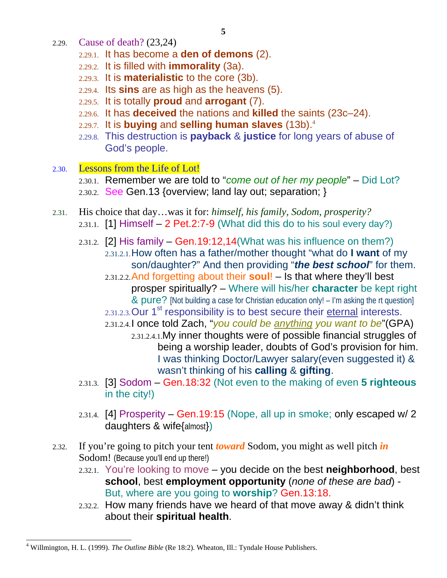- 2.29. Cause of death? (23,24)
	- 2.29.1. It has become a **den of demons** (2).
	- 2.29.2. It is filled with **immorality** (3a).
	- 2.29.3. It is **materialistic** to the core (3b).
	- 2.29.4. Its **sins** are as high as the heavens (5).
	- 2.29.5. It is totally **proud** and **arrogant** (7).
	- 2.29.6. It has **deceived** the nations and **killed** the saints (23c–24).
	- 2.29.7. It is **buying** and **selling human slaves** (13b).<sup>4</sup>
	- 2.29.8. This destruction is **payback** & **justice** for long years of abuse of God's people.
- 2.30. Lessons from the Life of Lot!
	- 2.30.1. Remember we are told to "*come out of her my people*" Did Lot? 2.30.2. See Gen.13 {overview; land lay out; separation; }
- 2.31. His choice that day…was it for: *himself, his family, Sodom, prosperity?* 2.31.1. [1] Himself  $-$  2 Pet.2:7-9 (What did this do to his soul every day?)
	- 2.31.2. [2] His family  $-$  Gen. 19:12, 14 (What was his influence on them?) 2.31.2.1.How often has a father/mother thought "what do **I want** of my son/daughter?" And then providing "*the best school*" for them. 2.31.2.2.And forgetting about their **soul**! – Is that where they'll best prosper spiritually? – Where will his/her **character** be kept right & pure? [Not building a case for Christian education only! – I'm asking the rt question] 2.31.2.3. Our 1<sup>st</sup> responsibility is to best secure their eternal interests.
		- 2.31.2.4.I once told Zach, "*you could be anything you want to be*"(GPA)
			- 2.31.2.4.1.My inner thoughts were of possible financial struggles of being a worship leader, doubts of God's provision for him. I was thinking Doctor/Lawyer salary(even suggested it) & wasn't thinking of his **calling** & **gifting**.
	- 2.31.3. [3] Sodom Gen.18:32 (Not even to the making of even **5 righteous** in the city!)
	- 2.31.4. [4] Prosperity Gen.19:15 (Nope, all up in smoke; only escaped w/ 2 daughters & wife{almost})
- 2.32. If you're going to pitch your tent *toward* Sodom, you might as well pitch *in* Sodom! (Because you'll end up there!)
	- 2.32.1. You're looking to move you decide on the best **neighborhood**, best **school**, best **employment opportunity** (*none of these are bad*) - But, where are you going to **worship**? Gen.13:18.
	- 2.32.2. How many friends have we heard of that move away & didn't think about their **spiritual health**.

 $\overline{a}$ 4 Willmington, H. L. (1999). *The Outline Bible* (Re 18:2). Wheaton, Ill.: Tyndale House Publishers.